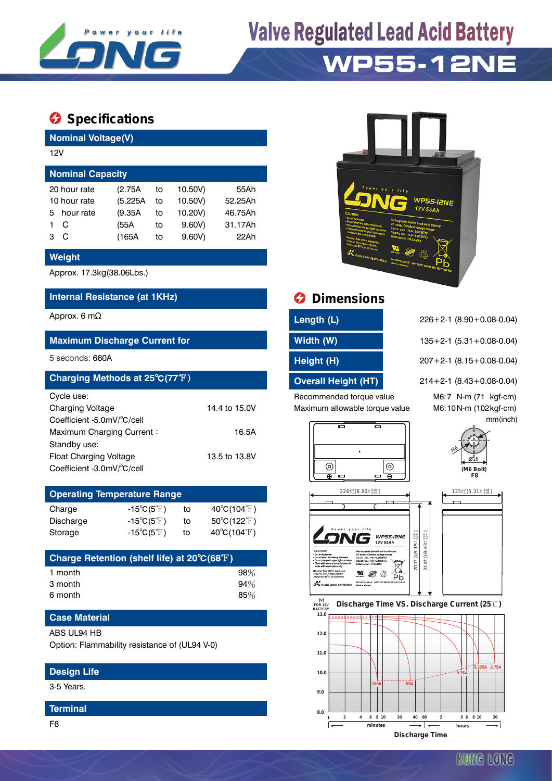

# **Valve Regulated Lead Acid Battery WP55-12NE**

# **Specifications**

**Nominal Voltage(V)**

| 12V                     |         |    |         |         |  |  |  |  |
|-------------------------|---------|----|---------|---------|--|--|--|--|
| <b>Nominal Capacity</b> |         |    |         |         |  |  |  |  |
| 20 hour rate            | (2.75A) | to | 10.50V) | 55Ah    |  |  |  |  |
| 10 hour rate            | (5.225A | to | 10.50V) | 52.25Ah |  |  |  |  |
| hour rate<br>5.         | (9.35A) | to | 10.20V) | 46.75Ah |  |  |  |  |
| C                       | (55A    | to | 9.60V   | 31.17Ah |  |  |  |  |
| C<br>з                  | (165A   | to | 9.60V   | 22Ah    |  |  |  |  |
|                         |         |    |         |         |  |  |  |  |

### **Weight**

Approx. 17.3kg(38.06Lbs.)

## **Internal Resistance (at 1KHz) Dimensions**

### **Maximum Discharge Current for Width (W)** 135+2-1 (5.31+0.08-0.04)

| Charging Methods at 25°C(77°F) |               |
|--------------------------------|---------------|
| Cycle use:                     |               |
| <b>Charging Voltage</b>        | 14.4 to 15.0V |
| Coefficient -5.0mV/°C/cell     |               |
| Maximum Charging Current:      | 16.5A         |
| Standby use:                   |               |
| <b>Float Charging Voltage</b>  | 13.5 to 13.8V |
| Coefficient -3.0mV/°C/cell     |               |

| <b>Operating Temperature Range</b> |                            |    |                             |  |  |  |  |
|------------------------------------|----------------------------|----|-----------------------------|--|--|--|--|
| Charge                             | $-15^{\circ}C(5^{\circ}F)$ | to | $40^{\circ}C(104^{\circ}F)$ |  |  |  |  |
| Discharge                          | $-15^{\circ}C(5^{\circ}F)$ | to | $50^{\circ}C(122^{\circ}F)$ |  |  |  |  |
| Storage                            | $-15^{\circ}C(5^{\circ}F)$ | t٥ | $40^{\circ}C(104^{\circ}F)$ |  |  |  |  |

| Charge Retention (shelf life) at 20°C(68°F) |     |
|---------------------------------------------|-----|
| 1 month                                     | 98% |
| 3 month                                     | 94% |
| 6 month                                     | 85% |

## **Case Material**

#### ABS UL94 HB

Option: Flammability resistance of (UL94 V-0)

## **Design Life**

3-5 Years.

#### **Terminal**



| Length (L) |  |
|------------|--|
| Width (W)  |  |

Recommended torque value M6:7 N-m (71 kgf-cm) Maximum allowable torque value M6:10N-m (102kgf-cm)

Approx. 6 mΩ **Length (L)** 226+2-1 (8.90+0.08-0.04)

5 seconds: 660A **Height (H)** 207+2-1 (8.15+0.08-0.04)

**Charging Methods 214+2-1 (8.43+0.08-0.04)** 214+2-1

mm(inch)



 $226 \pm {}^{2}_{1} (8.90 \pm {}^{0.08}_{0.04})$ 

VG

NONSPILE

X KING LONG RATTERIES







 $207 \pm \frac{2}{3} (8.15 \pm \frac{0.08}{0.04})$  $2(8.15 \pm 0.04)$  $214 \pm \frac{2}{18} (8.43 \pm \frac{0.08}{0.04})$  $^{2}_{1}$ (8.43± 0.04

**WP55-I2NE**<br>12V 55Ah

 $\mathbf{N}$   $\otimes$   $\overset{\wedge}{\underset{\text{Pb}}{\wedge}}$